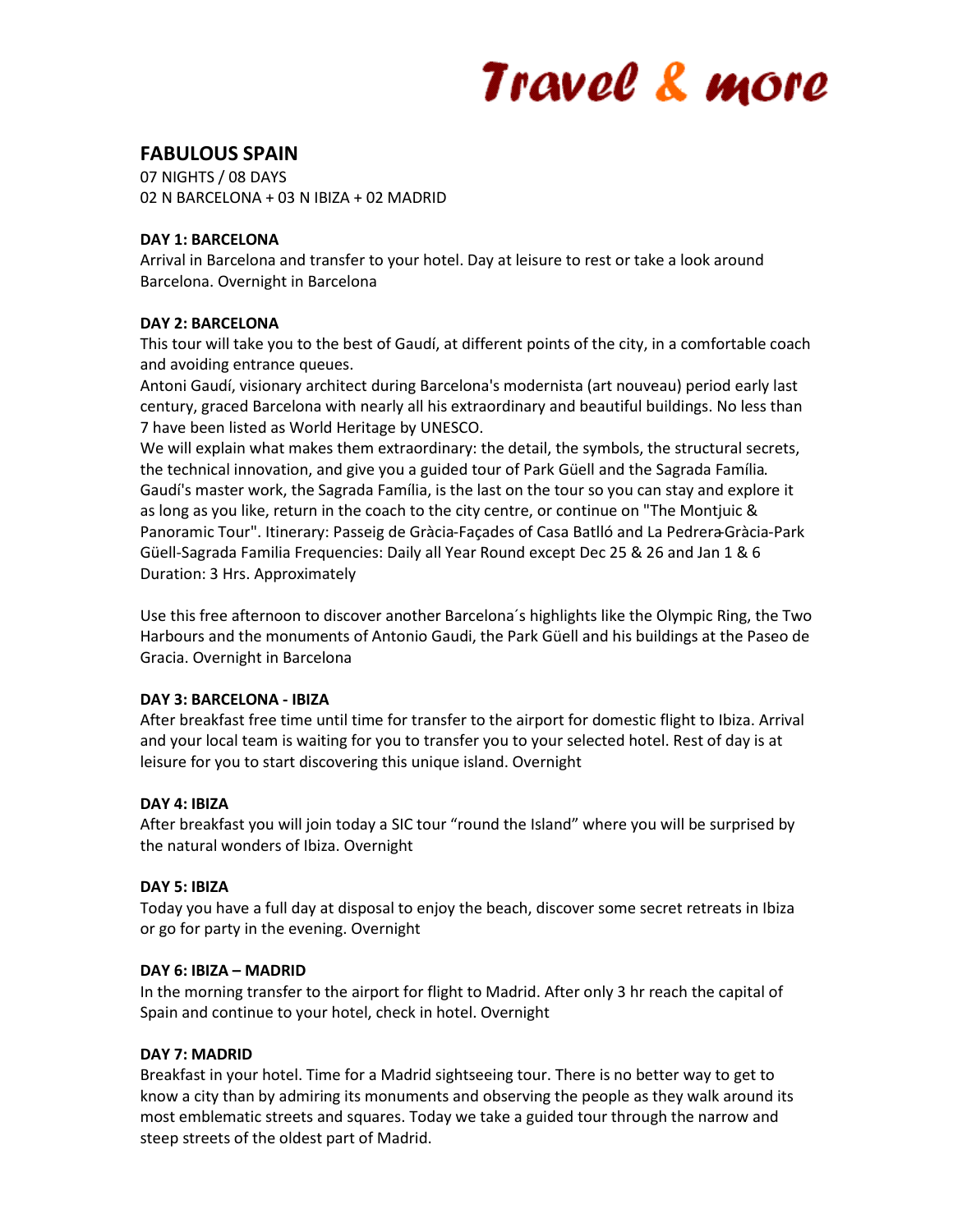# Travel & more

## **FABULOUS SPAIN**

07 NIGHTS / 08 DAYS 02 N BARCELONA + 03 N IBIZA + 02 MADRID

## **DAY 1: BARCELONA**

Arrival in Barcelona and transfer to your hotel. Day at leisure to rest or take a look around Barcelona. Overnight in Barcelona

## **DAY 2: BARCELONA**

This tour will take you to the best of Gaudí, at different points of the city, in a comfortable coach and avoiding entrance queues.

Antoni Gaudí, visionary architect during Barcelona's modernista (art nouveau) period early last century, graced Barcelona with nearly all his extraordinary and beautiful buildings. No less than 7 have been listed as World Heritage by UNESCO.

We will explain what makes them extraordinary: the detail, the symbols, the structural secrets, the technical innovation, and give you a guided tour of Park Güell and the Sagrada Família. Gaudí's master work, the Sagrada Família, is the last on the tour so you can stay and explore it as long as you like, return in the coach to the city centre, or continue on "The Montjuic & Panoramic Tour". Itinerary: Passeig de Gràcia-Façades of Casa Batlló and La Pedrera-Gràcia-Park Güell-Sagrada Familia Frequencies: Daily all Year Round except Dec 25 & 26 and Jan 1 & 6 Duration: 3 Hrs. Approximately

Use this free afternoon to discover another Barcelona´s highlights like the Olympic Ring, the Two Harbours and the monuments of Antonio Gaudi, the Park Güell and his buildings at the Paseo de Gracia. Overnight in Barcelona

## **DAY 3: BARCELONA - IBIZA**

After breakfast free time until time for transfer to the airport for domestic flight to Ibiza. Arrival and your local team is waiting for you to transfer you to your selected hotel. Rest of day is at leisure for you to start discovering this unique island. Overnight

## **DAY 4: IBIZA**

After breakfast you will join today a SIC tour "round the Island" where you will be surprised by the natural wonders of Ibiza. Overnight

#### **DAY 5: IBIZA**

Today you have a full day at disposal to enjoy the beach, discover some secret retreats in Ibiza or go for party in the evening. Overnight

#### **DAY 6: IBIZA – MADRID**

In the morning transfer to the airport for flight to Madrid. After only 3 hr reach the capital of Spain and continue to your hotel, check in hotel. Overnight

## **DAY 7: MADRID**

Breakfast in your hotel. Time for a Madrid sightseeing tour. There is no better way to get to know a city than by admiring its monuments and observing the people as they walk around its most emblematic streets and squares. Today we take a guided tour through the narrow and steep streets of the oldest part of Madrid.